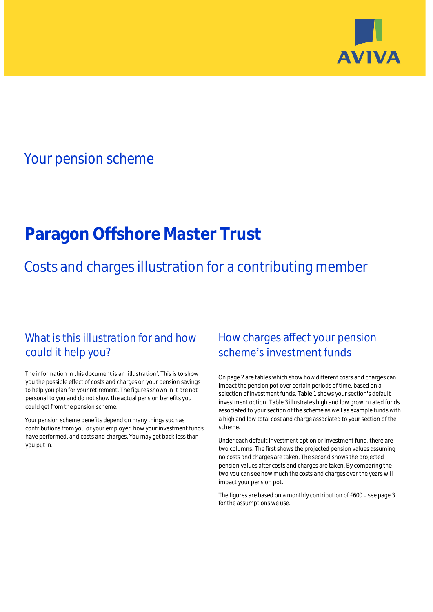

## Your pension scheme

# **Paragon Offshore Master Trust**

Costs and charges illustration for a contributing member

## What is this illustration for and how could it help you?

### The information in this document is an 'illustration'. This is to show you the possible effect of costs and charges on your pension savings to help you plan for your retirement. The figures shown in it are not personal to you and do not show the actual pension benefits you could get from the pension scheme.

Your pension scheme benefits depend on many things such as contributions from you or your employer, how your investment funds have performed, and costs and charges. You may get back less than you put in.

## How charges affect your pension scheme's investment funds

On page 2 are tables which show how different costs and charges can impact the pension pot over certain periods of time, based on a selection of investment funds. Table 1 shows your section's default investment option. Table 3 illustrates high and low growth rated funds associated to your section of the scheme as well as example funds with a high and low total cost and charge associated to your section of the scheme.

Under each default investment option or investment fund, there are two columns. The first shows the projected pension values assuming no costs and charges are taken. The second shows the projected pension values after costs and charges are taken. By comparing the two you can see how much the costs and charges over the years will impact your pension pot.

The figures are based on a monthly contribution of £600 - see page 3 for the assumptions we use.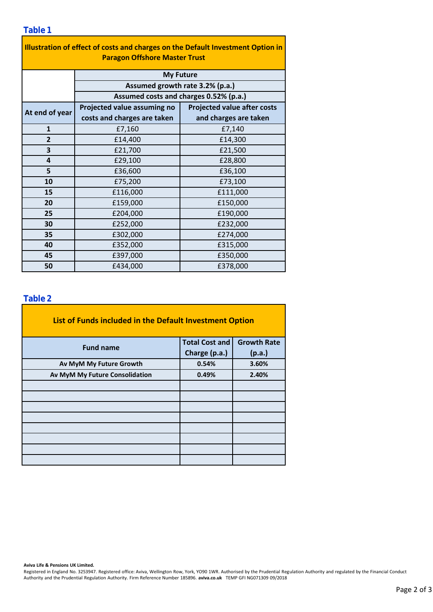### **Table 1**

| Illustration of effect of costs and charges on the Default Investment Option in |                                        |                                    |  |  |  |  |  |  |  |
|---------------------------------------------------------------------------------|----------------------------------------|------------------------------------|--|--|--|--|--|--|--|
| <b>Paragon Offshore Master Trust</b>                                            |                                        |                                    |  |  |  |  |  |  |  |
|                                                                                 | <b>My Future</b>                       |                                    |  |  |  |  |  |  |  |
|                                                                                 | Assumed growth rate 3.2% (p.a.)        |                                    |  |  |  |  |  |  |  |
|                                                                                 | Assumed costs and charges 0.52% (p.a.) |                                    |  |  |  |  |  |  |  |
| At end of year                                                                  | Projected value assuming no            | <b>Projected value after costs</b> |  |  |  |  |  |  |  |
|                                                                                 | costs and charges are taken            | and charges are taken              |  |  |  |  |  |  |  |
| $\mathbf{1}$                                                                    | £7,160                                 | £7,140                             |  |  |  |  |  |  |  |
| $\overline{2}$                                                                  | £14,400                                | £14,300                            |  |  |  |  |  |  |  |
| 3                                                                               | £21,700                                | £21,500                            |  |  |  |  |  |  |  |
| 4                                                                               | £29,100                                | £28,800                            |  |  |  |  |  |  |  |
| 5                                                                               | £36,600                                | £36,100                            |  |  |  |  |  |  |  |
| 10                                                                              | £75,200                                | £73,100                            |  |  |  |  |  |  |  |
| 15                                                                              | £116,000                               | £111,000                           |  |  |  |  |  |  |  |
| 20                                                                              | £159,000                               | £150,000                           |  |  |  |  |  |  |  |
| 25                                                                              | £204,000                               | £190,000                           |  |  |  |  |  |  |  |
| 30                                                                              | £252,000                               | £232,000                           |  |  |  |  |  |  |  |
| 35                                                                              | £302,000                               | £274,000                           |  |  |  |  |  |  |  |
| 40                                                                              | £352,000                               | £315,000                           |  |  |  |  |  |  |  |
| 45                                                                              | £397,000                               | £350,000                           |  |  |  |  |  |  |  |
| 50                                                                              | £434,000                               | £378,000                           |  |  |  |  |  |  |  |

### **Table 2**

| List of Funds included in the Default Investment Option |                       |                    |
|---------------------------------------------------------|-----------------------|--------------------|
| <b>Fund name</b>                                        | <b>Total Cost and</b> | <b>Growth Rate</b> |
|                                                         | Charge (p.a.)         | (p.a.)             |
| Av MyM My Future Growth                                 | 0.54%                 | 3.60%              |
| Av MyM My Future Consolidation                          | 0.49%                 | 2.40%              |
|                                                         |                       |                    |
|                                                         |                       |                    |
|                                                         |                       |                    |
|                                                         |                       |                    |
|                                                         |                       |                    |
|                                                         |                       |                    |
|                                                         |                       |                    |
|                                                         |                       |                    |

### **Aviva Life & Pensions UK Limited.**

Registered in England No. 3253947. Registered office: Aviva, Wellington Row, York, YO90 1WR. Authorised by the Prudential Regulation Authority and regulated by the Financial Conduct Authority and the Prudential Regulation Authority. Firm Reference Number 185896. **aviva.co.uk** TEMP GFI NG071309 09/2018